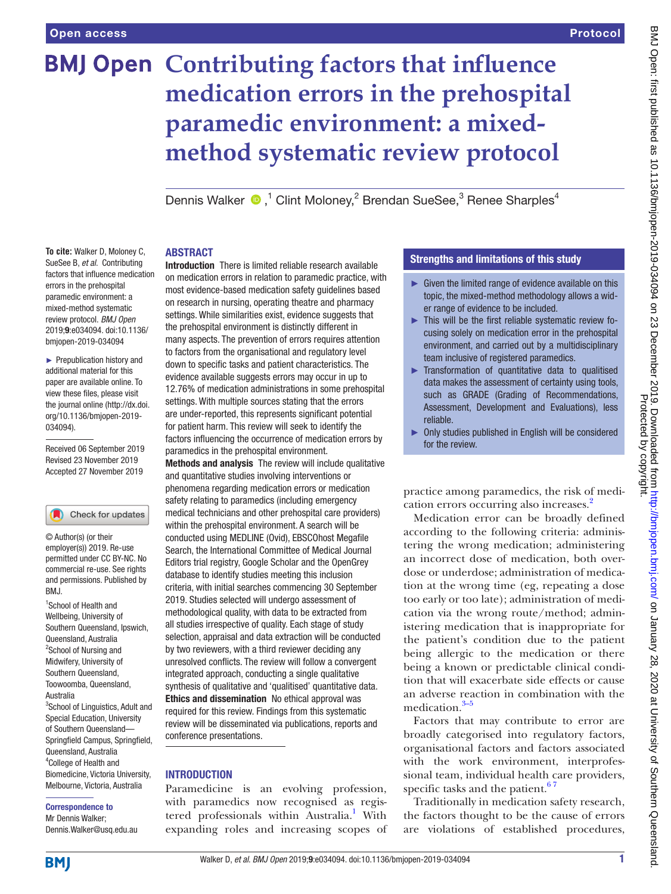# **BMJ Open Contributing factors that influence medication errors in the prehospital paramedic environment: a mixedmethod systematic review protocol**

DennisWalker  $\bigcirc$ ,<sup>1</sup> Clint Moloney,<sup>2</sup> Brendan SueSee,<sup>3</sup> Renee Sharples<sup>4</sup>

#### **ABSTRACT**

**To cite:** Walker D, Moloney C, SueSee B, *et al*. Contributing factors that influence medication errors in the prehospital paramedic environment: a mixed-method systematic review protocol. *BMJ Open* 2019;9:e034094. doi:10.1136/ bmjopen-2019-034094

► Prepublication history and additional material for this paper are available online. To view these files, please visit the journal online (http://dx.doi. org/10.1136/bmjopen-2019- 034094).

Received 06 September 2019 Revised 23 November 2019 Accepted 27 November 2019

#### Check for updates

© Author(s) (or their employer(s)) 2019. Re-use permitted under CC BY-NC. No commercial re-use. See rights and permissions. Published by BMJ.

1 School of Health and Wellbeing, University of Southern Queensland, Ipswich, Queensland, Australia <sup>2</sup>School of Nursing and Midwifery, University of Southern Queensland, Toowoomba, Queensland, Australia 3 School of Linguistics, Adult and Special Education, University of Southern Queensland— Springfield Campus, Springfield, Queensland, Australia 4 College of Health and Biomedicine, Victoria University, Melbourne, Victoria, Australia

# Correspondence to

Mr Dennis Walker; Dennis.Walker@usq.edu.au

Introduction There is limited reliable research available on medication errors in relation to paramedic practice, with most evidence-based medication safety guidelines based on research in nursing, operating theatre and pharmacy settings. While similarities exist, evidence suggests that the prehospital environment is distinctly different in many aspects. The prevention of errors requires attention to factors from the organisational and regulatory level down to specific tasks and patient characteristics. The evidence available suggests errors may occur in up to 12.76% of medication administrations in some prehospital settings. With multiple sources stating that the errors are under-reported, this represents significant potential for patient harm. This review will seek to identify the factors influencing the occurrence of medication errors by paramedics in the prehospital environment. Methods and analysis The review will include qualitative and quantitative studies involving interventions or

phenomena regarding medication errors or medication safety relating to paramedics (including emergency medical technicians and other prehospital care providers) within the prehospital environment. A search will be conducted using MEDLINE (Ovid), EBSCOhost Megafile Search, the International Committee of Medical Journal Editors trial registry, Google Scholar and the OpenGrey database to identify studies meeting this inclusion criteria, with initial searches commencing 30 September 2019. Studies selected will undergo assessment of methodological quality, with data to be extracted from all studies irrespective of quality. Each stage of study selection, appraisal and data extraction will be conducted by two reviewers, with a third reviewer deciding any unresolved conflicts. The review will follow a convergent integrated approach, conducting a single qualitative synthesis of qualitative and 'qualitised' quantitative data. Ethics and dissemination No ethical approval was required for this review. Findings from this systematic review will be disseminated via publications, reports and conference presentations.

#### **INTRODUCTION**

Paramedicine is an evolving profession, with paramedics now recognised as regis-tered professionals within Australia.<sup>[1](#page-4-0)</sup> With expanding roles and increasing scopes of

#### Strengths and limitations of this study

- $\blacktriangleright$  Given the limited range of evidence available on this topic, the mixed-method methodology allows a wider range of evidence to be included.
- ► This will be the first reliable systematic review focusing solely on medication error in the prehospital environment, and carried out by a multidisciplinary team inclusive of registered paramedics.
- ► Transformation of quantitative data to qualitised data makes the assessment of certainty using tools, such as GRADE (Grading of Recommendations, Assessment, Development and Evaluations), less reliable.
- Only studies published in English will be considered for the review.

practice among paramedics, the risk of medication errors occurring also increases.<sup>2</sup>

Medication error can be broadly defined according to the following criteria: administering the wrong medication; administering an incorrect dose of medication, both overdose or underdose; administration of medication at the wrong time (eg, repeating a dose too early or too late); administration of medication via the wrong route/method; administering medication that is inappropriate for the patient's condition due to the patient being allergic to the medication or there being a known or predictable clinical condition that will exacerbate side effects or cause an adverse reaction in combination with the medication.<sup>3–5</sup>

Factors that may contribute to error are broadly categorised into regulatory factors, organisational factors and factors associated with the work environment, interprofessional team, individual health care providers, specific tasks and the patient. $67$ 

Traditionally in medication safety research, the factors thought to be the cause of errors are violations of established procedures,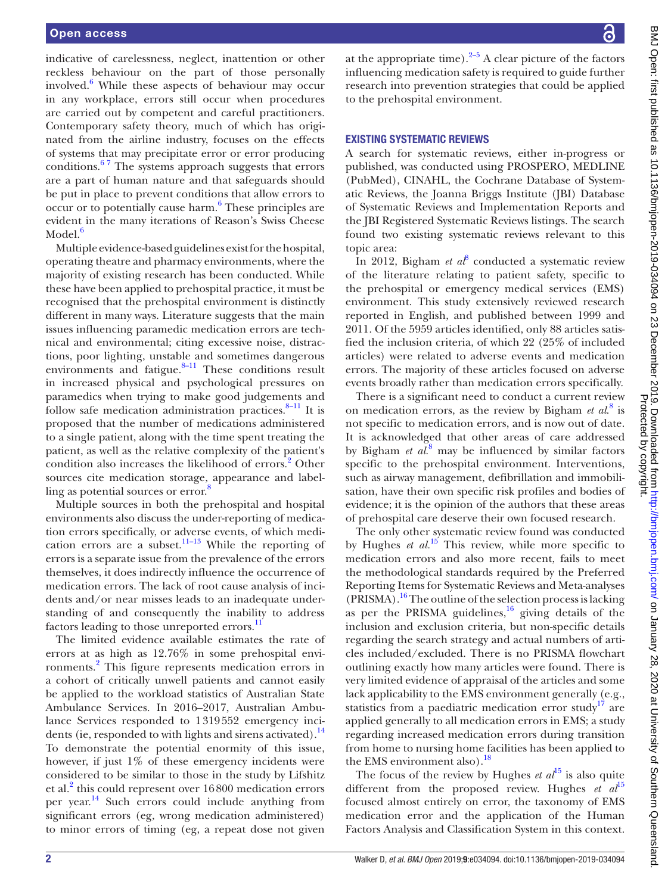indicative of carelessness, neglect, inattention or other reckless behaviour on the part of those personally involved.<sup>6</sup> While these aspects of behaviour may occur in any workplace, errors still occur when procedures are carried out by competent and careful practitioners. Contemporary safety theory, much of which has originated from the airline industry, focuses on the effects of systems that may precipitate error or error producing conditions. $67$  The systems approach suggests that errors are a part of human nature and that safeguards should be put in place to prevent conditions that allow errors to occur or to potentially cause harm.<sup>6</sup> These principles are evident in the many iterations of Reason's Swiss Cheese Model.<sup>[6](#page-4-3)</sup>

Multiple evidence-based guidelines exist for the hospital, operating theatre and pharmacy environments, where the majority of existing research has been conducted. While these have been applied to prehospital practice, it must be recognised that the prehospital environment is distinctly different in many ways. Literature suggests that the main issues influencing paramedic medication errors are technical and environmental; citing excessive noise, distractions, poor lighting, unstable and sometimes dangerous environments and fatigue. $\frac{8-11}{1}$  These conditions result in increased physical and psychological pressures on paramedics when trying to make good judgements and follow safe medication administration practices. $8-11$  It is proposed that the number of medications administered to a single patient, along with the time spent treating the patient, as well as the relative complexity of the patient's condition also increases the likelihood of errors.<sup>2</sup> Other sources cite medication storage, appearance and label-ling as potential sources or error.<sup>[8](#page-4-4)</sup>

Multiple sources in both the prehospital and hospital environments also discuss the under-reporting of medication errors specifically, or adverse events, of which medi-cation errors are a subset.<sup>[11–13](#page-4-5)</sup> While the reporting of errors is a separate issue from the prevalence of the errors themselves, it does indirectly influence the occurrence of medication errors. The lack of root cause analysis of incidents and/or near misses leads to an inadequate understanding of and consequently the inability to address factors leading to those unreported errors.<sup>[11](#page-4-5)</sup>

The limited evidence available estimates the rate of errors at as high as 12.76% in some prehospital environments.<sup>2</sup> This figure represents medication errors in a cohort of critically unwell patients and cannot easily be applied to the workload statistics of Australian State Ambulance Services. In 2016–2017, Australian Ambulance Services responded to 1319552 emergency inci-dents (ie, responded to with lights and sirens activated).<sup>[14](#page-4-6)</sup> To demonstrate the potential enormity of this issue, however, if just 1% of these emergency incidents were considered to be similar to those in the study by Lifshitz et al.<sup>[2](#page-4-1)</sup> this could represent over 16800 medication errors per year.<sup>14</sup> Such errors could include anything from significant errors (eg, wrong medication administered) to minor errors of timing (eg, a repeat dose not given

at the appropriate time).  $2-5$  A clear picture of the factors influencing medication safety is required to guide further research into prevention strategies that could be applied to the prehospital environment.

#### Existing systematic reviews

A search for systematic reviews, either in-progress or published, was conducted using PROSPERO, MEDLINE (PubMed), CINAHL, the Cochrane Database of Systematic Reviews, the Joanna Briggs Institute (JBI) Database of Systematic Reviews and Implementation Reports and the JBI Registered Systematic Reviews listings. The search found two existing systematic reviews relevant to this topic area:

In 2012, Bigham *et al*<sup>[8](#page-4-4)</sup> conducted a systematic review of the literature relating to patient safety, specific to the prehospital or emergency medical services (EMS) environment. This study extensively reviewed research reported in English, and published between 1999 and 2011. Of the 5959 articles identified, only 88 articles satisfied the inclusion criteria, of which 22 (25% of included articles) were related to adverse events and medication errors. The majority of these articles focused on adverse events broadly rather than medication errors specifically.

There is a significant need to conduct a current review on medication errors, as the review by Bigham *et al.*<sup>[8](#page-4-4)</sup> is not specific to medication errors, and is now out of date. It is acknowledged that other areas of care addressed by Bigham *et*  $a\overline{l}^8$  $a\overline{l}^8$  may be influenced by similar factors specific to the prehospital environment. Interventions, such as airway management, defibrillation and immobilisation, have their own specific risk profiles and bodies of evidence; it is the opinion of the authors that these areas of prehospital care deserve their own focused research.

The only other systematic review found was conducted by Hughes *et al.*[15](#page-4-7) This review, while more specific to medication errors and also more recent, fails to meet the methodological standards required by the Preferred Reporting Items for Systematic Reviews and Meta-analyses  $(PRISMA)$ .<sup>16</sup> The outline of the selection process is lacking as per the PRISMA guidelines, $16$  giving details of the inclusion and exclusion criteria, but non-specific details regarding the search strategy and actual numbers of articles included/excluded. There is no PRISMA flowchart outlining exactly how many articles were found. There is very limited evidence of appraisal of the articles and some lack applicability to the EMS environment generally (e.g., statistics from a paediatric medication error study<sup>[17](#page-4-9)</sup> are applied generally to all medication errors in EMS; a study regarding increased medication errors during transition from home to nursing home facilities has been applied to the EMS environment also). $^{18}$  $^{18}$  $^{18}$ 

The focus of the review by Hughes  $et al^{15}$  is also quite different from the proposed review. Hughes *et al*<sup>[15](#page-4-7)</sup> focused almost entirely on error, the taxonomy of EMS medication error and the application of the Human Factors Analysis and Classification System in this context.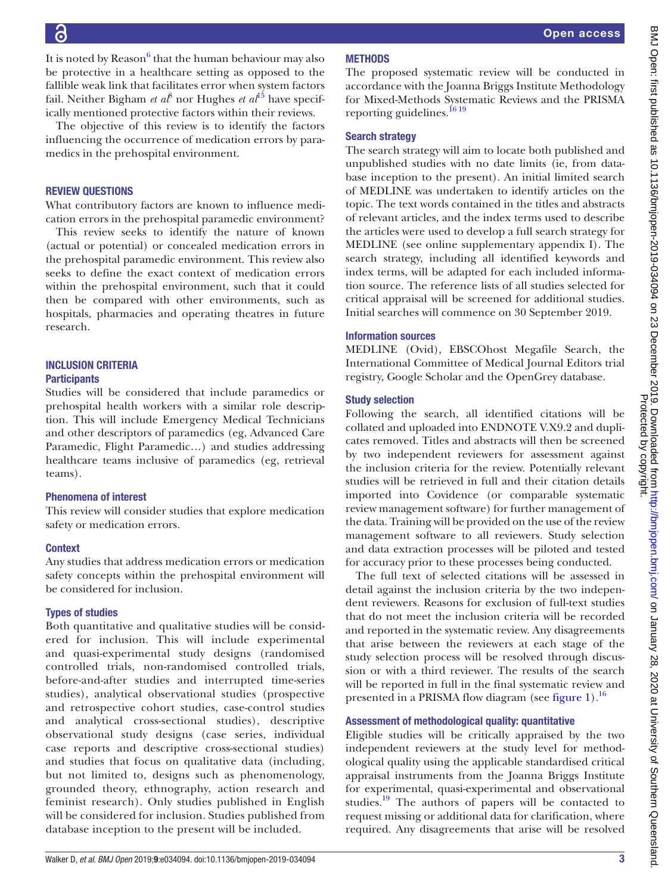It is noted by  $\text{Reason}^6$  $\text{Reason}^6$  that the human behaviour may also be protective in a healthcare setting as opposed to the fallible weak link that facilitates error when system factors fail. Neither Bigham *et al*<sup>[8](#page-4-4)</sup> nor Hughes *et al*<sup>[15](#page-4-7)</sup> have specifically mentioned protective factors within their reviews. The objective of this review is to identify the factors influencing the occurrence of medication errors by paramedics in the prehospital environment. Review questions What contributory factors are known to influence medication errors in the prehospital paramedic environment? This review seeks to identify the nature of known (actual or potential) or concealed medication errors in the prehospital paramedic environment. This review also seeks to define the exact context of medication errors

within the prehospital environment, such that it could then be compared with other environments, such as hospitals, pharmacies and operating theatres in future research.

#### Inclusion criteria **Participants**

Studies will be considered that include paramedics or prehospital health workers with a similar role description. This will include Emergency Medical Technicians and other descriptors of paramedics (eg, Advanced Care Paramedic, Flight Paramedic…) and studies addressing healthcare teams inclusive of paramedics (eg, retrieval teams).

# Phenomena of interest

This review will consider studies that explore medication safety or medication errors.

# **Context**

Any studies that address medication errors or medication safety concepts within the prehospital environment will be considered for inclusion.

# Types of studies

Both quantitative and qualitative studies will be considered for inclusion. This will include experimental and quasi-experimental study designs (randomised controlled trials, non-randomised controlled trials, before-and-after studies and interrupted time-series studies), analytical observational studies (prospective and retrospective cohort studies, case-control studies and analytical cross-sectional studies), descriptive observational study designs (case series, individual case reports and descriptive cross-sectional studies) and studies that focus on qualitative data (including, but not limited to, designs such as phenomenology, grounded theory, ethnography, action research and feminist research). Only studies published in English will be considered for inclusion. Studies published from database inception to the present will be included.

# **METHODS**

The proposed systematic review will be conducted in accordance with the Joanna Briggs Institute Methodology for Mixed-Methods Systematic Reviews and the PRISMA reporting guidelines.<sup>16 19</sup>

#### Search strategy

The search strategy will aim to locate both published and unpublished studies with no date limits (ie, from database inception to the present). An initial limited search of MEDLINE was undertaken to identify articles on the topic. The text words contained in the titles and abstracts of relevant articles, and the index terms used to describe the articles were used to develop a full search strategy for MEDLINE (see [online supplementary appendix I\)](https://dx.doi.org/10.1136/bmjopen-2019-034094). The search strategy, including all identified keywords and index terms, will be adapted for each included information source. The reference lists of all studies selected for critical appraisal will be screened for additional studies. Initial searches will commence on 30 September 2019.

## Information sources

MEDLINE (Ovid), EBSCOhost Megafile Search, the International Committee of Medical Journal Editors trial registry, Google Scholar and the OpenGrey database.

## Study selection

Following the search, all identified citations will be collated and uploaded into ENDNOTE V.X9.2 and duplicates removed. Titles and abstracts will then be screened by two independent reviewers for assessment against the inclusion criteria for the review. Potentially relevant studies will be retrieved in full and their citation details imported into Covidence (or comparable systematic review management software) for further management of the data. Training will be provided on the use of the review management software to all reviewers. Study selection and data extraction processes will be piloted and tested for accuracy prior to these processes being conducted.

The full text of selected citations will be assessed in detail against the inclusion criteria by the two independent reviewers. Reasons for exclusion of full-text studies that do not meet the inclusion criteria will be recorded and reported in the systematic review. Any disagreements that arise between the reviewers at each stage of the study selection process will be resolved through discussion or with a third reviewer. The results of the search will be reported in full in the final systematic review and presented in a PRISMA flow diagram (see [figure](#page-3-0) 1).<sup>16</sup>

#### Assessment of methodological quality: quantitative

Eligible studies will be critically appraised by the two independent reviewers at the study level for methodological quality using the applicable standardised critical appraisal instruments from the Joanna Briggs Institute for experimental, quasi-experimental and observational studies.<sup>19</sup> The authors of papers will be contacted to request missing or additional data for clarification, where required. Any disagreements that arise will be resolved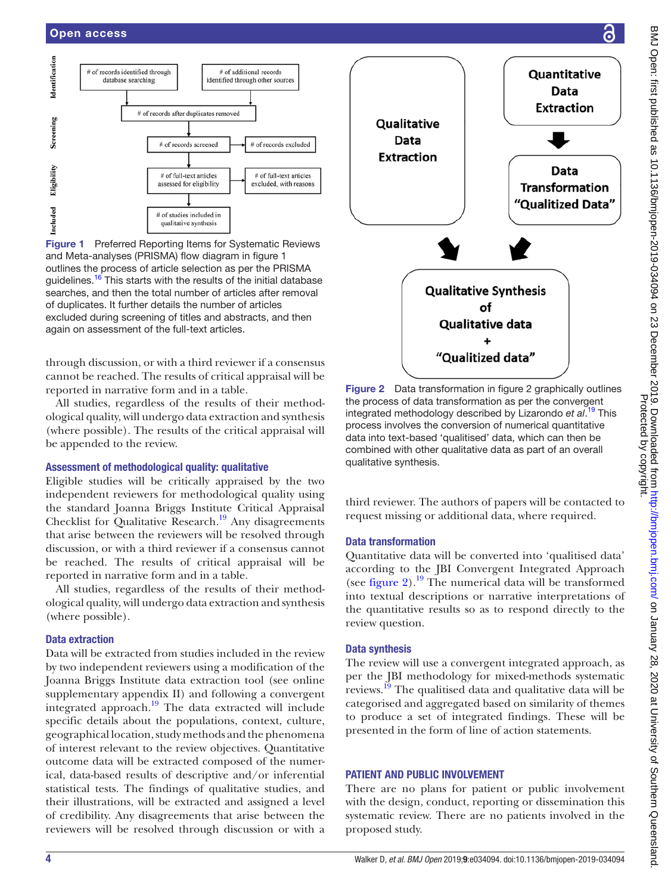

<span id="page-3-0"></span>**Figure 1** Preferred Reporting Items for Systematic Reviews and Meta-analyses (PRISMA) flow diagram in figure 1 outlines the process of article selection as per the PRISMA guidelines.<sup>[16](#page-4-8)</sup> This starts with the results of the initial database searches, and then the total number of articles after removal of duplicates. It further details the number of articles excluded during screening of titles and abstracts, and then again on assessment of the full-text articles.

through discussion, or with a third reviewer if a consensus cannot be reached. The results of critical appraisal will be reported in narrative form and in a table.

All studies, regardless of the results of their methodological quality, will undergo data extraction and synthesis (where possible). The results of the critical appraisal will be appended to the review.

#### Assessment of methodological quality: qualitative

Eligible studies will be critically appraised by the two independent reviewers for methodological quality using the standard Joanna Briggs Institute Critical Appraisal Checklist for Qualitative Research[.19](#page-4-11) Any disagreements that arise between the reviewers will be resolved through discussion, or with a third reviewer if a consensus cannot be reached. The results of critical appraisal will be reported in narrative form and in a table.

All studies, regardless of the results of their methodological quality, will undergo data extraction and synthesis (where possible).

#### Data extraction

Data will be extracted from studies included in the review by two independent reviewers using a modification of the Joanna Briggs Institute data extraction tool (see [online](https://dx.doi.org/10.1136/bmjopen-2019-034094) [supplementary appendix II](https://dx.doi.org/10.1136/bmjopen-2019-034094)) and following a convergent integrated approach. $19$  The data extracted will include specific details about the populations, context, culture, geographical location, study methods and the phenomena of interest relevant to the review objectives. Quantitative outcome data will be extracted composed of the numerical, data-based results of descriptive and/or inferential statistical tests. The findings of qualitative studies, and their illustrations, will be extracted and assigned a level of credibility. Any disagreements that arise between the reviewers will be resolved through discussion or with a



<span id="page-3-1"></span>Figure 2 Data transformation in figure 2 graphically outlines the process of data transformation as per the convergent integrated methodology described by Lizarondo *et al*. [19](#page-4-11) This process involves the conversion of numerical quantitative data into text-based 'qualitised' data, which can then be combined with other qualitative data as part of an overall qualitative synthesis.

third reviewer. The authors of papers will be contacted to request missing or additional data, where required.

#### Data transformation

Quantitative data will be converted into 'qualitised data' according to the JBI Convergent Integrated Approach (see [figure](#page-3-1) 2).<sup>[19](#page-4-11)</sup> The numerical data will be transformed into textual descriptions or narrative interpretations of the quantitative results so as to respond directly to the review question.

#### Data synthesis

The review will use a convergent integrated approach, as per the JBI methodology for mixed-methods systematic reviews.<sup>19</sup> The qualitised data and qualitative data will be categorised and aggregated based on similarity of themes to produce a set of integrated findings. These will be presented in the form of line of action statements.

#### Patient and public involvement

There are no plans for patient or public involvement with the design, conduct, reporting or dissemination this systematic review. There are no patients involved in the proposed study.